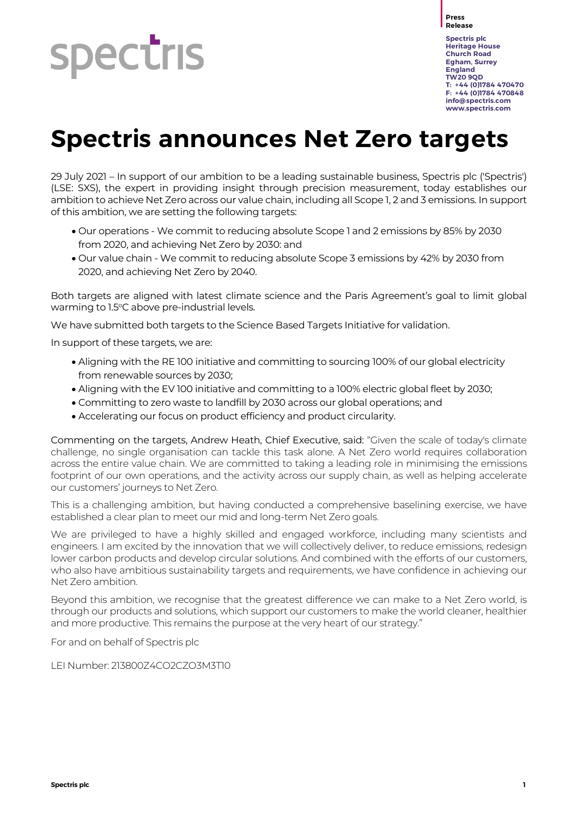

**Press Release**

**Spectris plc Heritage House Church Road Egham, Surrey England TW20 9QD T: +44 (0)1784 470470 F: +44 (0)1784 470848 [info@spectris.com](mailto:info@spectris.com) www.spectris.com**

# **Spectris announces Net Zero targets**

29 July 2021 – In support of our ambition to be a leading sustainable business, Spectris plc ('Spectris') (LSE: SXS), the expert in providing insight through precision measurement, today establishes our ambition to achieve Net Zero across our value chain, including all Scope 1, 2 and 3 emissions. In support of this ambition, we are setting the following targets:

- Our operations We commit to reducing absolute Scope 1 and 2 emissions by 85% by 2030 from 2020, and achieving Net Zero by 2030: and
- Our value chain We commit to reducing absolute Scope 3 emissions by 42% by 2030 from 2020, and achieving Net Zero by 2040.

Both targets are aligned with latest climate science and the Paris Agreement's goal to limit global warming to 1.5°C above pre-industrial levels.

We have submitted both targets to the Science Based Targets Initiative for validation.

In support of these targets, we are:

- Aligning with the RE 100 initiative and committing to sourcing 100% of our global electricity from renewable sources by 2030;
- Aligning with the EV 100 initiative and committing to a 100% electric global fleet by 2030;
- Committing to zero waste to landfill by 2030 across our global operations; and
- Accelerating our focus on product efficiency and product circularity.

Commenting on the targets, Andrew Heath, Chief Executive, said: "Given the scale of today's climate challenge, no single organisation can tackle this task alone. A Net Zero world requires collaboration across the entire value chain. We are committed to taking a leading role in minimising the emissions footprint of our own operations, and the activity across our supply chain, as well as helping accelerate our customers' journeys to Net Zero.

This is a challenging ambition, but having conducted a comprehensive baselining exercise, we have established a clear plan to meet our mid and long-term Net Zero goals.

We are privileged to have a highly skilled and engaged workforce, including many scientists and engineers. I am excited by the innovation that we will collectively deliver, to reduce emissions, redesign lower carbon products and develop circular solutions. And combined with the efforts of our customers, who also have ambitious sustainability targets and requirements, we have confidence in achieving our Net Zero ambition.

Beyond this ambition, we recognise that the greatest difference we can make to a Net Zero world, is through our products and solutions, which support our customers to make the world cleaner, healthier and more productive. This remains the purpose at the very heart of our strategy."

For and on behalf of Spectris plc

LEI Number: 213800Z4CO2CZO3M3T10